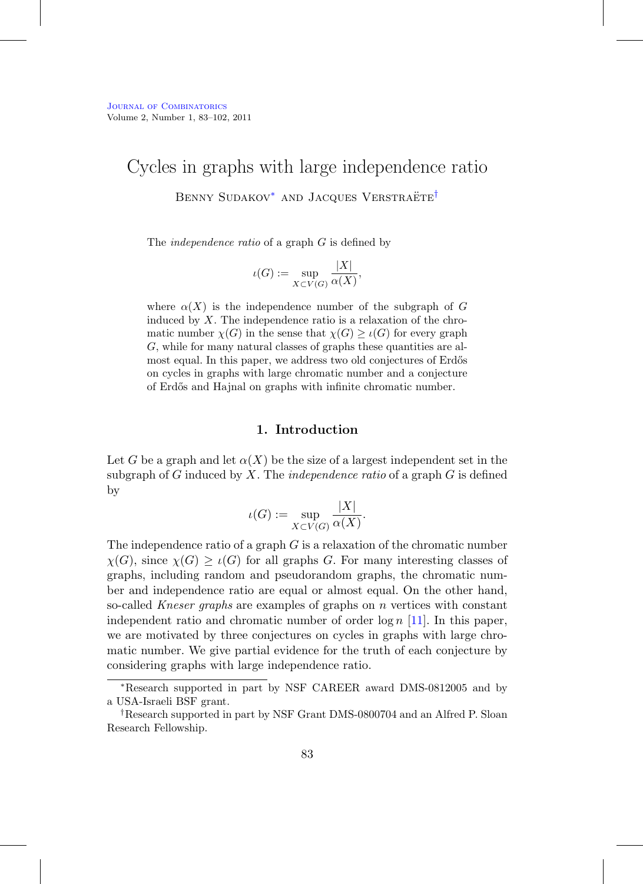# Cycles in graphs with large independence ratio

BENNY SUDAKOV<sup>\*</sup> AND JACQUES VERSTRAËTE<sup>[†](#page-0-1)</sup>

The *independence ratio* of a graph G is defined by

$$
\iota(G) := \sup_{X \subset V(G)} \frac{|X|}{\alpha(X)},
$$

where  $\alpha(X)$  is the independence number of the subgraph of G induced by  $X$ . The independence ratio is a relaxation of the chromatic number  $\chi(G)$  in the sense that  $\chi(G) \geq \iota(G)$  for every graph G, while for many natural classes of graphs these quantities are almost equal. In this paper, we address two old conjectures of Erdős on cycles in graphs with large chromatic number and a conjecture of Erd˝os and Hajnal on graphs with infinite chromatic number.

## **1. Introduction**

Let G be a graph and let  $\alpha(X)$  be the size of a largest independent set in the subgraph of G induced by X. The *independence ratio* of a graph  $G$  is defined by

$$
\iota(G) := \sup_{X \subset V(G)} \frac{|X|}{\alpha(X)}.
$$

The independence ratio of a graph  $G$  is a relaxation of the chromatic number  $\chi(G)$ , since  $\chi(G) \geq \iota(G)$  for all graphs G. For many interesting classes of graphs, including random and pseudorandom graphs, the chromatic number and independence ratio are equal or almost equal. On the other hand, so-called Kneser graphs are examples of graphs on  $n$  vertices with constant independent ratio and chromatic number of order  $\log n$  [\[11\]](#page-19-0). In this paper, we are motivated by three conjectures on cycles in graphs with large chromatic number. We give partial evidence for the truth of each conjecture by considering graphs with large independence ratio.

<span id="page-0-0"></span><sup>∗</sup>Research supported in part by NSF CAREER award DMS-0812005 and by a USA-Israeli BSF grant.

<span id="page-0-1"></span><sup>†</sup>Research supported in part by NSF Grant DMS-0800704 and an Alfred P. Sloan Research Fellowship.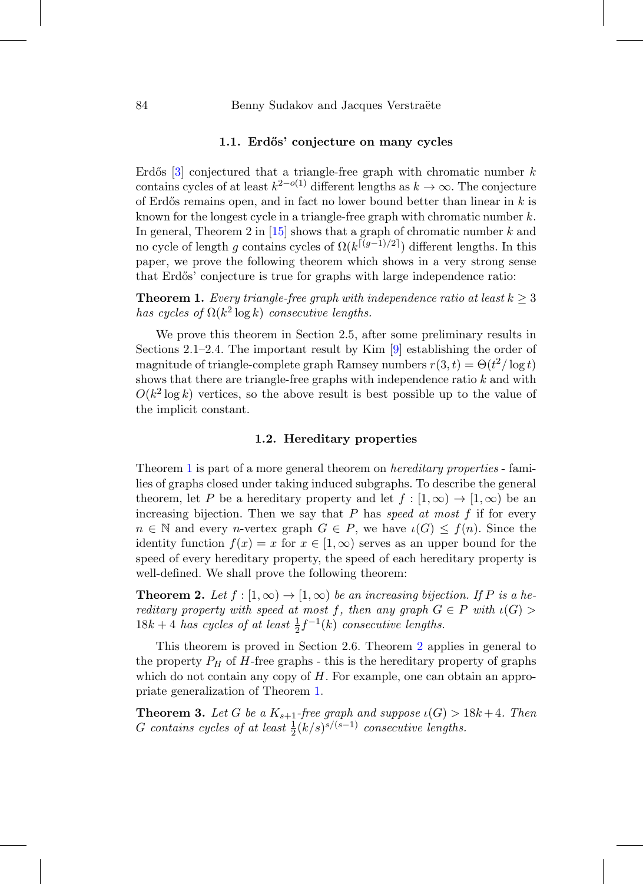#### **1.1. Erd˝os' conjecture on many cycles**

Erdős [\[3](#page-18-0)] conjectured that a triangle-free graph with chromatic number  $k$ contains cycles of at least  $k^{2-o(1)}$  different lengths as  $k \to \infty$ . The conjecture of Erdős remains open, and in fact no lower bound better than linear in  $k$  is known for the longest cycle in a triangle-free graph with chromatic number  $k$ . In general, Theorem 2 in  $[15]$  $[15]$  shows that a graph of chromatic number k and no cycle of length q contains cycles of  $\Omega(k^{\lceil (g-1)/2 \rceil})$  different lengths. In this paper, we prove the following theorem which shows in a very strong sense that Erdős' conjecture is true for graphs with large independence ratio:

<span id="page-1-0"></span>**Theorem 1.** Every triangle-free graph with independence ratio at least  $k > 3$ has cycles of  $\Omega(k^2 \log k)$  consecutive lengths.

We prove this theorem in Section 2.5, after some preliminary results in Sections 2.1–2.4. The important result by Kim  $[9]$  $[9]$  establishing the order of magnitude of triangle-complete graph Ramsey numbers  $r(3, t) = \Theta(t^2/\log t)$ shows that there are triangle-free graphs with independence ratio  $k$  and with  $O(k^2 \log k)$  vertices, so the above result is best possible up to the value of the implicit constant.

# **1.2. Hereditary properties**

Theorem [1](#page-1-0) is part of a more general theorem on hereditary properties - families of graphs closed under taking induced subgraphs. To describe the general theorem, let P be a hereditary property and let  $f : [1, \infty) \to [1, \infty)$  be an increasing bijection. Then we say that  $P$  has speed at most  $f$  if for every  $n \in \mathbb{N}$  and every *n*-vertex graph  $G \in P$ , we have  $\iota(G) \leq f(n)$ . Since the identity function  $f(x) = x$  for  $x \in [1,\infty)$  serves as an upper bound for the speed of every hereditary property, the speed of each hereditary property is well-defined. We shall prove the following theorem:

<span id="page-1-1"></span>**Theorem 2.** Let  $f : [1, \infty) \to [1, \infty)$  be an increasing bijection. If P is a hereditary property with speed at most f, then any graph  $G \in P$  with  $\iota(G)$  $18k + 4$  has cycles of at least  $\frac{1}{2}f^{-1}(k)$  consecutive lengths.

This theorem is proved in Section 2.6. Theorem [2](#page-1-1) applies in general to the property  $P_H$  of H-free graphs - this is the hereditary property of graphs which do not contain any copy of  $H$ . For example, one can obtain an appropriate generalization of Theorem [1.](#page-1-0)

<span id="page-1-2"></span>**Theorem 3.** Let G be a  $K_{s+1}$ -free graph and suppose  $\iota(G) > 18k+4$ . Then G contains cycles of at least  $\frac{1}{2}(k/s)^{s/(s-1)}$  consecutive lengths.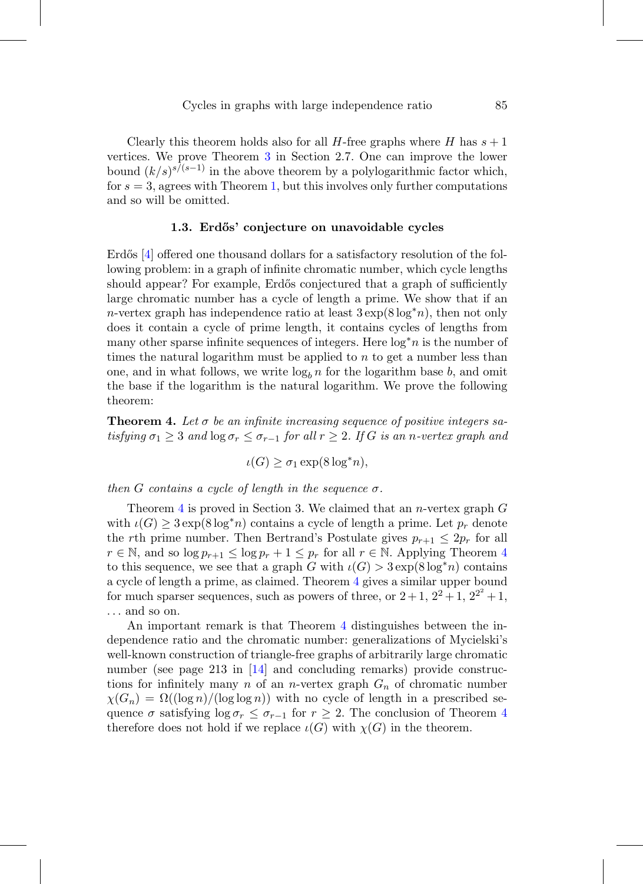Clearly this theorem holds also for all H-free graphs where H has  $s + 1$ vertices. We prove Theorem [3](#page-1-2) in Section 2.7. One can improve the lower bound  $(k/s)^{s/(s-1)}$  in the above theorem by a polylogarithmic factor which, for  $s = 3$ , agrees with Theorem [1,](#page-1-0) but this involves only further computations and so will be omitted.

#### **1.3. Erd˝os' conjecture on unavoidable cycles**

Erdős  $[4]$  offered one thousand dollars for a satisfactory resolution of the following problem: in a graph of infinite chromatic number, which cycle lengths should appear? For example, Erdős conjectured that a graph of sufficiently large chromatic number has a cycle of length a prime. We show that if an n-vertex graph has independence ratio at least  $3 \exp(8 \log^* n)$ , then not only does it contain a cycle of prime length, it contains cycles of lengths from many other sparse infinite sequences of integers. Here  $\log^* n$  is the number of times the natural logarithm must be applied to  $n$  to get a number less than one, and in what follows, we write  $\log_b n$  for the logarithm base b, and omit the base if the logarithm is the natural logarithm. We prove the following theorem:

<span id="page-2-0"></span>**Theorem 4.** Let  $\sigma$  be an infinite increasing sequence of positive integers satisfying  $\sigma_1 \geq 3$  and  $\log \sigma_r \leq \sigma_{r-1}$  for all  $r \geq 2$ . If G is an n-vertex graph and

 $\iota(G) \geq \sigma_1 \exp(8 \log^* n),$ 

then G contains a cycle of length in the sequence  $\sigma$ .

Theorem [4](#page-2-0) is proved in Section 3. We claimed that an *n*-vertex graph  $G$ with  $\iota(G) \geq 3 \exp(8 \log^* n)$  contains a cycle of length a prime. Let  $p_r$  denote the rth prime number. Then Bertrand's Postulate gives  $p_{r+1} \leq 2p_r$  for all  $r \in \mathbb{N}$ , and so  $\log p_{r+1} \leq \log p_r + 1 \leq p_r$  for all  $r \in \mathbb{N}$ . Applying Theorem [4](#page-2-0) to this sequence, we see that a graph G with  $\iota(G) > 3 \exp(8 \log^* n)$  contains a cycle of length a prime, as claimed. Theorem [4](#page-2-0) gives a similar upper bound for much sparser sequences, such as powers of three, or  $2+1$ ,  $2^2+1$ ,  $2^{2^2}+1$ , ... and so on.

An important remark is that Theorem [4](#page-2-0) distinguishes between the independence ratio and the chromatic number: generalizations of Mycielski's well-known construction of triangle-free graphs of arbitrarily large chromatic number (see page 213 in [\[14\]](#page-19-3) and concluding remarks) provide constructions for infinitely many  $n$  of an *n*-vertex graph  $G_n$  of chromatic number  $\chi(G_n) = \Omega((\log n)/(\log \log n))$  with no cycle of length in a prescribed sequence  $\sigma$  satisfying  $\log \sigma_r \leq \sigma_{r-1}$  for  $r \geq 2$ . The conclusion of Theorem [4](#page-2-0) therefore does not hold if we replace  $\iota(G)$  with  $\chi(G)$  in the theorem.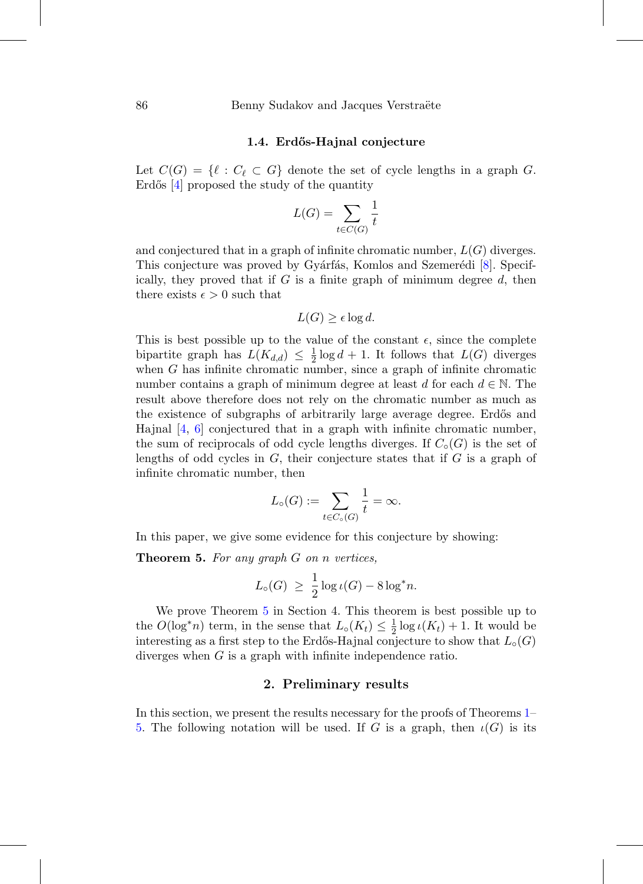### **1.4. Erd˝os-Hajnal conjecture**

Let  $C(G) = \{ \ell : C_{\ell} \subset G \}$  denote the set of cycle lengths in a graph G. Erdős  $[4]$  $[4]$  proposed the study of the quantity

$$
L(G) = \sum_{t \in C(G)} \frac{1}{t}
$$

and conjectured that in a graph of infinite chromatic number,  $L(G)$  diverges. This conjecture was proved by Gyárfás, Komlos and Szemerédi [\[8](#page-19-4)]. Specifically, they proved that if  $G$  is a finite graph of minimum degree  $d$ , then there exists  $\epsilon > 0$  such that

$$
L(G) \ge \epsilon \log d.
$$

This is best possible up to the value of the constant  $\epsilon$ , since the complete bipartite graph has  $L(K_{d,d}) \leq \frac{1}{2} \log d + 1$ . It follows that  $L(G)$  diverges when  $G$  has infinite chromatic number, since a graph of infinite chromatic number contains a graph of minimum degree at least d for each  $d \in \mathbb{N}$ . The result above therefore does not rely on the chromatic number as much as the existence of subgraphs of arbitrarily large average degree. Erdős and Hajnal [\[4,](#page-18-1) [6\]](#page-18-2) conjectured that in a graph with infinite chromatic number, the sum of reciprocals of odd cycle lengths diverges. If  $C_{\circ}(G)$  is the set of lengths of odd cycles in  $G$ , their conjecture states that if  $G$  is a graph of infinite chromatic number, then

$$
L_{\circ}(G) := \sum_{t \in C_{\circ}(G)} \frac{1}{t} = \infty.
$$

In this paper, we give some evidence for this conjecture by showing:

<span id="page-3-0"></span>**Theorem 5.** For any graph G on n vertices,

$$
L_{\circ}(G) \ \geq \ \frac{1}{2} \log \iota(G) - 8 \log^* n.
$$

We prove Theorem [5](#page-3-0) in Section 4. This theorem is best possible up to the  $O(\log^* n)$  term, in the sense that  $L_0(K_t) \leq \frac{1}{2} \log \iota(K_t) + 1$ . It would be interesting as a first step to the Erdős-Hajnal conjecture to show that  $L_{\circ}(G)$ diverges when G is a graph with infinite independence ratio.

# **2. Preliminary results**

In this section, we present the results necessary for the proofs of Theorems [1–](#page-1-0) [5.](#page-3-0) The following notation will be used. If G is a graph, then  $\iota(G)$  is its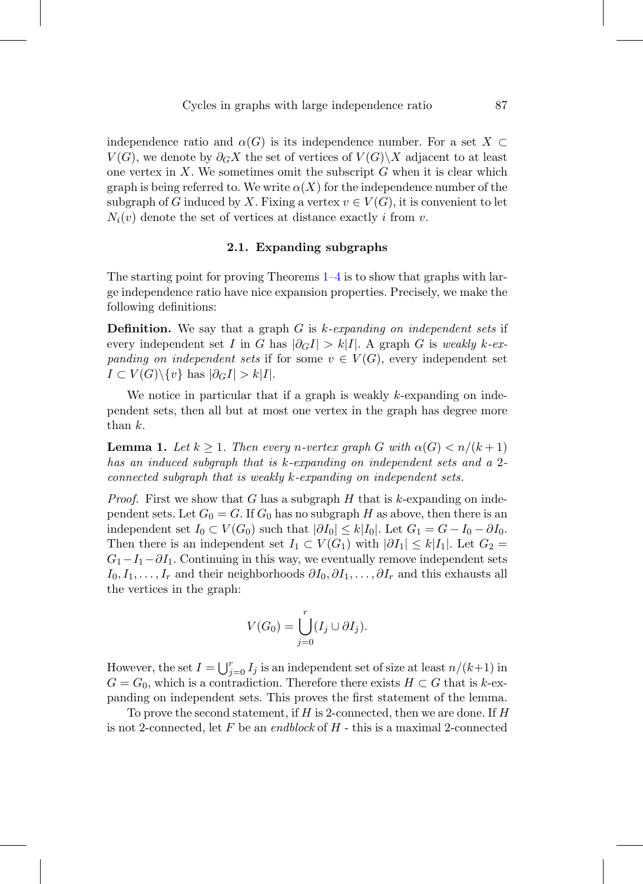independence ratio and  $\alpha(G)$  is its independence number. For a set  $X \subset$  $V(G)$ , we denote by  $\partial_G X$  the set of vertices of  $V(G)\X$  adjacent to at least one vertex in  $X$ . We sometimes omit the subscript  $G$  when it is clear which graph is being referred to. We write  $\alpha(X)$  for the independence number of the subgraph of G induced by X. Fixing a vertex  $v \in V(G)$ , it is convenient to let  $N_i(v)$  denote the set of vertices at distance exactly i from v.

## **2.1. Expanding subgraphs**

The starting point for proving Theorems  $1-4$  $1-4$  is to show that graphs with large independence ratio have nice expansion properties. Precisely, we make the following definitions:

**Definition.** We say that a graph G is k-expanding on independent sets if every independent set I in G has  $|\partial_G I| > k|I|$ . A graph G is weakly k-expanding on independent sets if for some  $v \in V(G)$ , every independent set  $I \subset V(G) \backslash \{v\}$  has  $|\partial_G I| > k|I|.$ 

We notice in particular that if a graph is weakly  $k$ -expanding on independent sets, then all but at most one vertex in the graph has degree more than k.

<span id="page-4-0"></span>**Lemma 1.** Let  $k \geq 1$ . Then every n-vertex graph G with  $\alpha(G) < n/(k+1)$ has an induced subgraph that is k-expanding on independent sets and a 2 connected subgraph that is weakly k-expanding on independent sets.

*Proof.* First we show that G has a subgraph H that is k-expanding on independent sets. Let  $G_0 = G$ . If  $G_0$  has no subgraph H as above, then there is an independent set  $I_0 \subset V(G_0)$  such that  $|\partial I_0| \leq k|I_0|$ . Let  $G_1 = G - I_0 - \partial I_0$ . Then there is an independent set  $I_1 \subset V(G_1)$  with  $|\partial I_1| \leq k|I_1|$ . Let  $G_2$  $G_1-I_1-*\partial I_1*$ . Continuing in this way, we eventually remove independent sets  $I_0, I_1, \ldots, I_r$  and their neighborhoods  $\partial I_0, \partial I_1, \ldots, \partial I_r$  and this exhausts all the vertices in the graph:

$$
V(G_0) = \bigcup_{j=0}^r (I_j \cup \partial I_j).
$$

However, the set  $I = \bigcup_{j=0}^r I_j$  is an independent set of size at least  $n/(k+1)$  in  $G = G_0$ , which is a contradiction. Therefore there exists  $H \subset G$  that is k-expanding on independent sets. This proves the first statement of the lemma.

To prove the second statement, if  $H$  is 2-connected, then we are done. If  $H$ is not 2-connected, let F be an endblock of  $H$  - this is a maximal 2-connected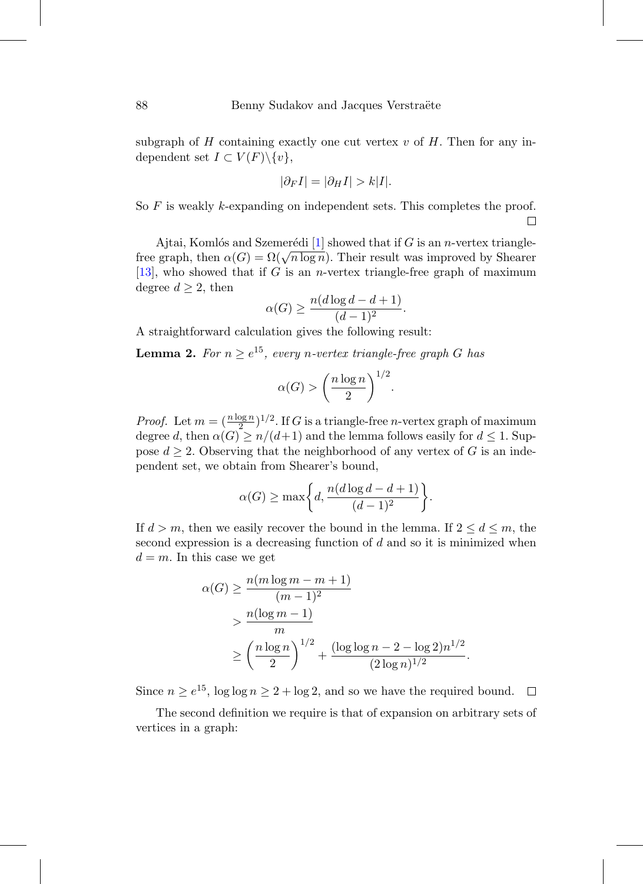subgraph of  $H$  containing exactly one cut vertex  $v$  of  $H$ . Then for any independent set  $I \subset V(F) \backslash \{v\},\$ 

$$
|\partial_F I| = |\partial_H I| > k|I|.
$$

So  $F$  is weakly k-expanding on independent sets. This completes the proof.  $\Box$ 

Ajtai, Komlós and Szemerédi [\[1\]](#page-18-3) showed that if G is an n-vertex trianglefree graph, then  $\alpha(G) = \Omega(\sqrt{n \log n})$ . Their result was improved by Shearer [\[13\]](#page-19-5), who showed that if G is an *n*-vertex triangle-free graph of maximum degree  $d \geq 2$ , then

$$
\alpha(G) \ge \frac{n(d \log d - d + 1)}{(d-1)^2}.
$$

A straightforward calculation gives the following result:

<span id="page-5-0"></span>**Lemma 2.** For  $n \geq e^{15}$ , every n-vertex triangle-free graph G has

$$
\alpha(G) > \left(\frac{n\log n}{2}\right)^{1/2}.
$$

*Proof.* Let  $m = (\frac{n \log n}{2})^{1/2}$ . If G is a triangle-free *n*-vertex graph of maximum degree d, then  $\alpha(G) \geq n/(d+1)$  and the lemma follows easily for  $d \leq 1$ . Suppose  $d \geq 2$ . Observing that the neighborhood of any vertex of G is an independent set, we obtain from Shearer's bound,

$$
\alpha(G) \ge \max\bigg\{d, \frac{n(d \log d - d + 1)}{(d-1)^2}\bigg\}.
$$

If  $d > m$ , then we easily recover the bound in the lemma. If  $2 \leq d \leq m$ , the second expression is a decreasing function of d and so it is minimized when  $d = m$ . In this case we get

$$
\alpha(G) \ge \frac{n(m \log m - m + 1)}{(m - 1)^2}
$$
  
> 
$$
\frac{n(\log m - 1)}{m}
$$
  

$$
\ge \left(\frac{n \log n}{2}\right)^{1/2} + \frac{(\log \log n - 2 - \log 2)n^{1/2}}{(2 \log n)^{1/2}}.
$$

Since  $n \ge e^{15}$ ,  $\log \log n \ge 2 + \log 2$ , and so we have the required bound.  $\Box$ 

The second definition we require is that of expansion on arbitrary sets of vertices in a graph: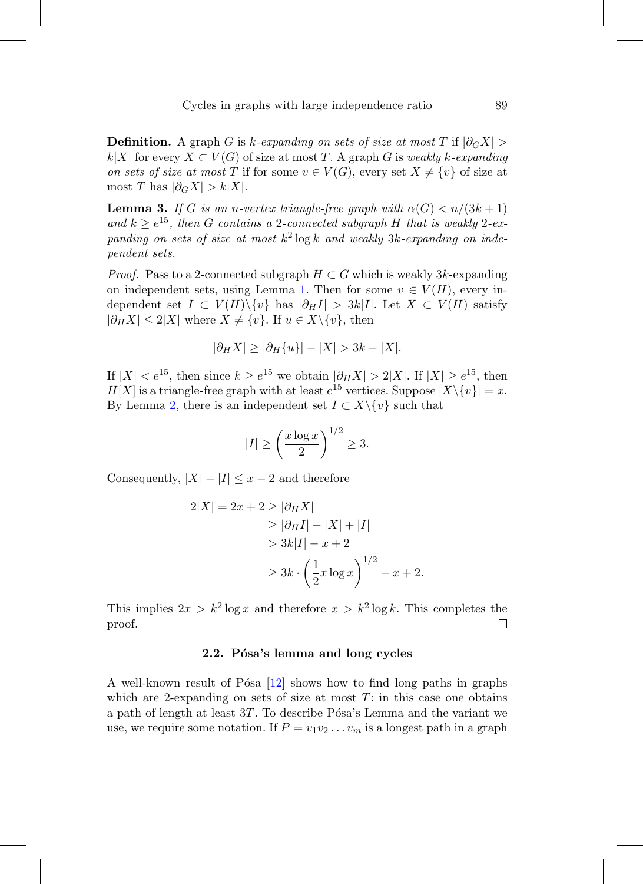**Definition.** A graph G is k-expanding on sets of size at most T if  $|\partial_G X|$  >  $k|X|$  for every  $X \subset V(G)$  of size at most T. A graph G is weakly k-expanding on sets of size at most T if for some  $v \in V(G)$ , every set  $X \neq \{v\}$  of size at most T has  $|\partial_G X| > k |X|$ .

<span id="page-6-0"></span>**Lemma 3.** If G is an n-vertex triangle-free graph with  $\alpha(G) < n/(3k+1)$ and  $k \ge e^{15}$ , then G contains a 2-connected subgraph H that is weakly 2-expanding on sets of size at most  $k^2 \log k$  and weakly 3k-expanding on independent sets.

*Proof.* Pass to a 2-connected subgraph  $H \subset G$  which is weakly 3k-expanding on independent sets, using Lemma [1.](#page-4-0) Then for some  $v \in V(H)$ , every independent set  $I \subset V(H) \setminus \{v\}$  has  $|\partial_H I| > 3k|I|$ . Let  $X \subset V(H)$  satisfy  $|\partial_H X| \leq 2|X|$  where  $X \neq \{v\}$ . If  $u \in X \setminus \{v\}$ , then

$$
|\partial_H X| \ge |\partial_H \{u\}| - |X| > 3k - |X|.
$$

If  $|X| < e^{15}$ , then since  $k \ge e^{15}$  we obtain  $|\partial_H X| > 2|X|$ . If  $|X| \ge e^{15}$ , then  $H[X]$  is a triangle-free graph with at least  $e^{15}$  vertices. Suppose  $|X\setminus\{v\}|=x$ . By Lemma [2,](#page-5-0) there is an independent set  $I \subset X \backslash \{v\}$  such that

$$
|I| \ge \left(\frac{x\log x}{2}\right)^{1/2} \ge 3.
$$

Consequently,  $|X|-|I| \leq x-2$  and therefore

$$
2|X| = 2x + 2 \ge |\partial_H X|
$$
  
\n
$$
\ge |\partial_H I| - |X| + |I|
$$
  
\n
$$
> 3k|I| - x + 2
$$
  
\n
$$
\ge 3k \cdot \left(\frac{1}{2}x \log x\right)^{1/2} - x + 2.
$$

This implies  $2x > k^2 \log x$  and therefore  $x > k^2 \log k$ . This completes the proof.  $\Box$ 

## 2.2. Pósa's lemma and long cycles

A well-known result of Pósa  $[12]$  shows how to find long paths in graphs which are 2-expanding on sets of size at most  $T$ : in this case one obtains a path of length at least  $3T$ . To describe Pósa's Lemma and the variant we use, we require some notation. If  $P = v_1v_2 \ldots v_m$  is a longest path in a graph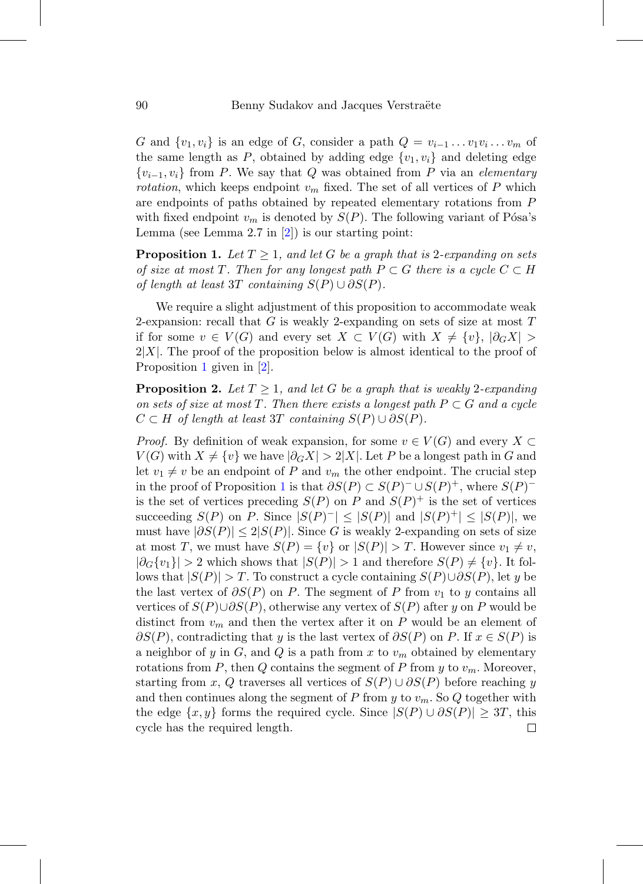G and  $\{v_1, v_i\}$  is an edge of G, consider a path  $Q = v_{i-1} \dots v_1 v_i \dots v_m$  of the same length as  $P$ , obtained by adding edge  $\{v_1, v_i\}$  and deleting edge  $\{v_{i-1}, v_i\}$  from P. We say that Q was obtained from P via an elementary *rotation*, which keeps endpoint  $v_m$  fixed. The set of all vertices of P which are endpoints of paths obtained by repeated elementary rotations from P with fixed endpoint  $v_m$  is denoted by  $S(P)$ . The following variant of Pósa's Lemma (see Lemma 2.7 in  $[2]$  $[2]$ ) is our starting point:

<span id="page-7-0"></span>**Proposition 1.** Let  $T \geq 1$ , and let G be a graph that is 2-expanding on sets of size at most T. Then for any longest path  $P \subset G$  there is a cycle  $C \subset H$ of length at least 3T containing  $S(P) \cup \partial S(P)$ .

We require a slight adjustment of this proposition to accommodate weak 2-expansion: recall that  $G$  is weakly 2-expanding on sets of size at most  $T$ if for some  $v \in V(G)$  and every set  $X \subset V(G)$  with  $X \neq \{v\}, |\partial_G X| >$  $2|X|$ . The proof of the proposition below is almost identical to the proof of Proposition [1](#page-7-0) given in [\[2](#page-18-4)].

<span id="page-7-1"></span>**Proposition 2.** Let  $T > 1$ , and let G be a graph that is weakly 2-expanding on sets of size at most T. Then there exists a longest path  $P \subset G$  and a cycle  $C \subset H$  of length at least 3T containing  $S(P) \cup \partial S(P)$ .

*Proof.* By definition of weak expansion, for some  $v \in V(G)$  and every  $X \subset$  $V(G)$  with  $X \neq \{v\}$  we have  $|\partial_G X| > 2|X|$ . Let P be a longest path in G and let  $v_1 \neq v$  be an endpoint of P and  $v_m$  the other endpoint. The crucial step in the proof of Proposition [1](#page-7-0) is that  $\partial S(P) \subset S(P)$ <sup>-</sup> ∪  $S(P)^+$ , where  $S(P)$ <sup>-</sup> is the set of vertices preceding  $S(P)$  on P and  $S(P)^+$  is the set of vertices succeeding  $S(P)$  on P. Since  $|S(P)^{-}| \leq |S(P)|$  and  $|S(P)^{+}| \leq |S(P)|$ , we must have  $|\partial S(P)| \leq 2|S(P)|$ . Since G is weakly 2-expanding on sets of size at most T, we must have  $S(P) = \{v\}$  or  $|S(P)| > T$ . However since  $v_1 \neq v$ ,  $|\partial_G \{v_1\}| > 2$  which shows that  $|S(P)| > 1$  and therefore  $S(P) \neq \{v\}$ . It follows that  $|S(P)| > T$ . To construct a cycle containing  $S(P) \cup \partial S(P)$ , let y be the last vertex of  $\partial S(P)$  on P. The segment of P from  $v_1$  to y contains all vertices of  $S(P) \cup \partial S(P)$ , otherwise any vertex of  $S(P)$  after y on P would be distinct from  $v_m$  and then the vertex after it on P would be an element of  $\partial S(P)$ , contradicting that y is the last vertex of  $\partial S(P)$  on P. If  $x \in S(P)$  is a neighbor of y in G, and Q is a path from x to  $v_m$  obtained by elementary rotations from P, then Q contains the segment of P from y to  $v_m$ . Moreover, starting from x, Q traverses all vertices of  $S(P) \cup \partial S(P)$  before reaching y and then continues along the segment of P from y to  $v_m$ . So Q together with the edge  $\{x, y\}$  forms the required cycle. Since  $|S(P) \cup \partial S(P)| \geq 3T$ , this cycle has the required length.□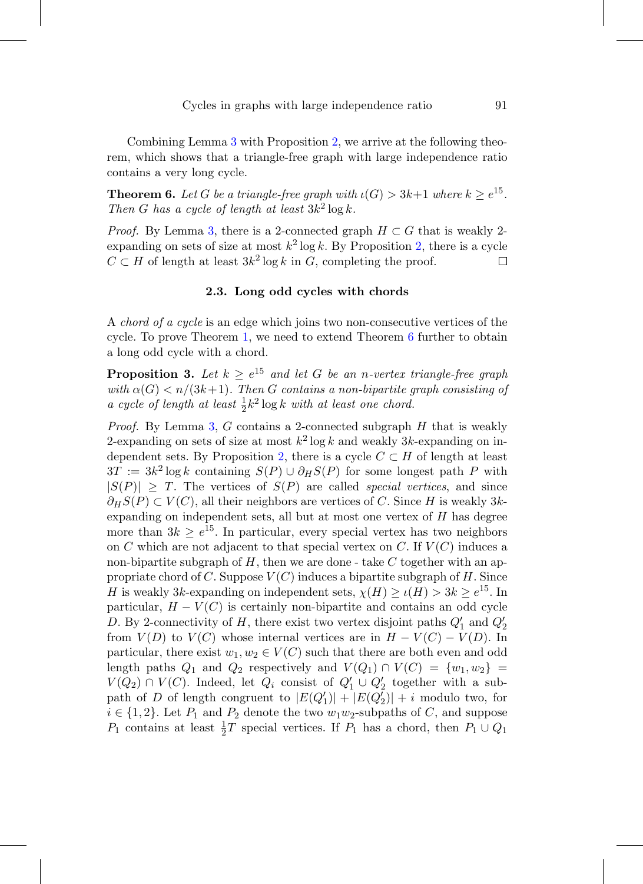Combining Lemma [3](#page-6-0) with Proposition [2,](#page-7-1) we arrive at the following theorem, which shows that a triangle-free graph with large independence ratio contains a very long cycle.

<span id="page-8-0"></span>**Theorem 6.** Let G be a triangle-free graph with  $\iota(G) > 3k+1$  where  $k > e^{15}$ . Then G has a cycle of length at least  $3k^2 \log k$ .

*Proof.* By Lemma [3,](#page-6-0) there is a 2-connected graph  $H \subset G$  that is weakly 2expanding on sets of size at most  $k^2 \log k$ . By Proposition [2,](#page-7-1) there is a cycle  $C \subset H$  of length at least  $3k^2 \log k$  in G, completing the proof. □

# **2.3. Long odd cycles with chords**

A chord of a cycle is an edge which joins two non-consecutive vertices of the cycle. To prove Theorem [1,](#page-1-0) we need to extend Theorem [6](#page-8-0) further to obtain a long odd cycle with a chord.

<span id="page-8-1"></span>**Proposition 3.** Let  $k \geq e^{15}$  and let G be an n-vertex triangle-free graph with  $\alpha(G) < n/(3k+1)$ . Then G contains a non-bipartite graph consisting of a cycle of length at least  $\frac{1}{2}k^2 \log k$  with at least one chord.

*Proof.* By Lemma [3,](#page-6-0) G contains a 2-connected subgraph  $H$  that is weakly 2-expanding on sets of size at most  $k^2 \log k$  and weakly 3k-expanding on in-dependent sets. By Proposition [2,](#page-7-1) there is a cycle  $C \subset H$  of length at least  $3T := 3k^2 \log k$  containing  $S(P) \cup \partial_H S(P)$  for some longest path P with  $|S(P)| \geq T$ . The vertices of  $S(P)$  are called *special vertices*, and since  $\partial_H S(P) \subset V(C)$ , all their neighbors are vertices of C. Since H is weakly 3kexpanding on independent sets, all but at most one vertex of H has degree more than  $3k \geq e^{15}$ . In particular, every special vertex has two neighbors on C which are not adjacent to that special vertex on C. If  $V(C)$  induces a non-bipartite subgraph of  $H$ , then we are done - take  $C$  together with an appropriate chord of  $C$ . Suppose  $V(C)$  induces a bipartite subgraph of  $H$ . Since H is weakly 3k-expanding on independent sets,  $\chi(H) \ge \iota(H) > 3k \ge e^{15}$ . In particular,  $H - V(C)$  is certainly non-bipartite and contains an odd cycle D. By 2-connectivity of  $H$ , there exist two vertex disjoint paths  $Q'_1$  and  $Q'_2$ from  $V(D)$  to  $V(C)$  whose internal vertices are in  $H - V(C) - V(D)$ . In particular, there exist  $w_1, w_2 \in V(C)$  such that there are both even and odd length paths  $Q_1$  and  $Q_2$  respectively and  $V(Q_1) \cap V(C) = \{w_1, w_2\}$  $V(Q_2) \cap V(C)$ . Indeed, let  $Q_i$  consist of  $Q'_1 \cup Q'_2$  together with a subpath of D of length congruent to  $|E(Q'_1)| + |E(Q'_2)| + i$  modulo two, for  $i \in \{1, 2\}$ . Let  $P_1$  and  $P_2$  denote the two  $w_1w_2$ -subpaths of C, and suppose  $P_1$  contains at least  $\frac{1}{2}T$  special vertices. If  $P_1$  has a chord, then  $P_1 \cup Q_1$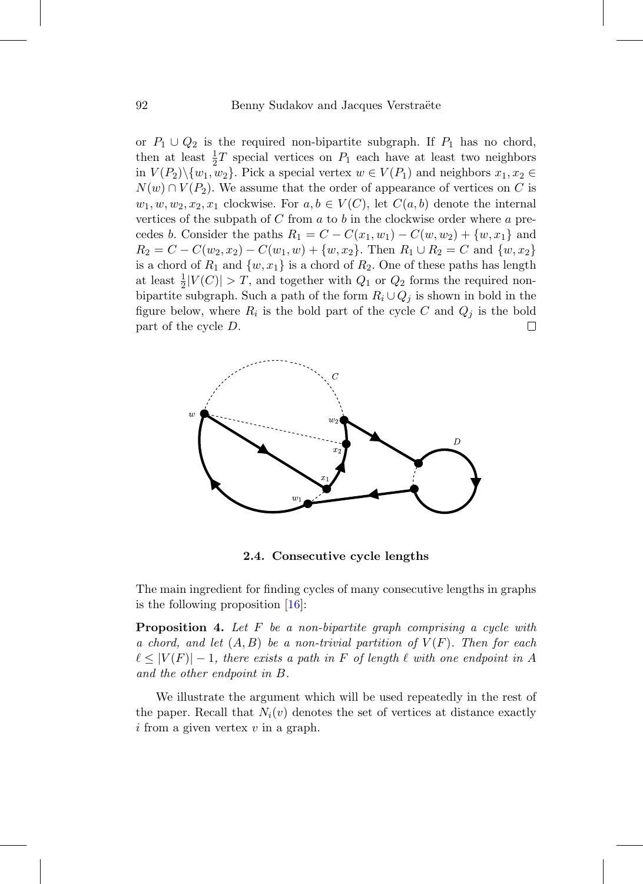or  $P_1 \cup Q_2$  is the required non-bipartite subgraph. If  $P_1$  has no chord, then at least  $\frac{1}{2}T$  special vertices on  $P_1$  each have at least two neighbors in  $V(P_2)\setminus \{w_1, w_2\}$ . Pick a special vertex  $w \in V(P_1)$  and neighbors  $x_1, x_2 \in$  $N(w) \cap V(P_2)$ . We assume that the order of appearance of vertices on C is  $w_1, w, w_2, x_2, x_1$  clockwise. For  $a, b \in V(C)$ , let  $C(a, b)$  denote the internal vertices of the subpath of C from  $a$  to  $b$  in the clockwise order where  $a$  precedes b. Consider the paths  $R_1 = C - C(x_1, w_1) - C(w, w_2) + \{w, x_1\}$  and  $R_2 = C - C(w_2, x_2) - C(w_1, w) + \{w, x_2\}.$  Then  $R_1 \cup R_2 = C$  and  $\{w, x_2\}$ is a chord of  $R_1$  and  $\{w, x_1\}$  is a chord of  $R_2$ . One of these paths has length at least  $\frac{1}{2}|V(C)| > T$ , and together with  $Q_1$  or  $Q_2$  forms the required nonbipartite subgraph. Such a path of the form  $R_i \cup Q_j$  is shown in bold in the figure below, where  $R_i$  is the bold part of the cycle C and  $Q_j$  is the bold part of the cycle D.  $\Box$ 



**2.4. Consecutive cycle lengths**

The main ingredient for finding cycles of many consecutive lengths in graphs is the following proposition [\[16\]](#page-19-7):

<span id="page-9-0"></span>**Proposition 4.** Let F be a non-bipartite graph comprising a cycle with a chord, and let  $(A, B)$  be a non-trivial partition of  $V(F)$ . Then for each  $\ell \leq |V(F)|-1$ , there exists a path in F of length  $\ell$  with one endpoint in A and the other endpoint in B.

We illustrate the argument which will be used repeatedly in the rest of the paper. Recall that  $N_i(v)$  denotes the set of vertices at distance exactly  $i$  from a given vertex  $v$  in a graph.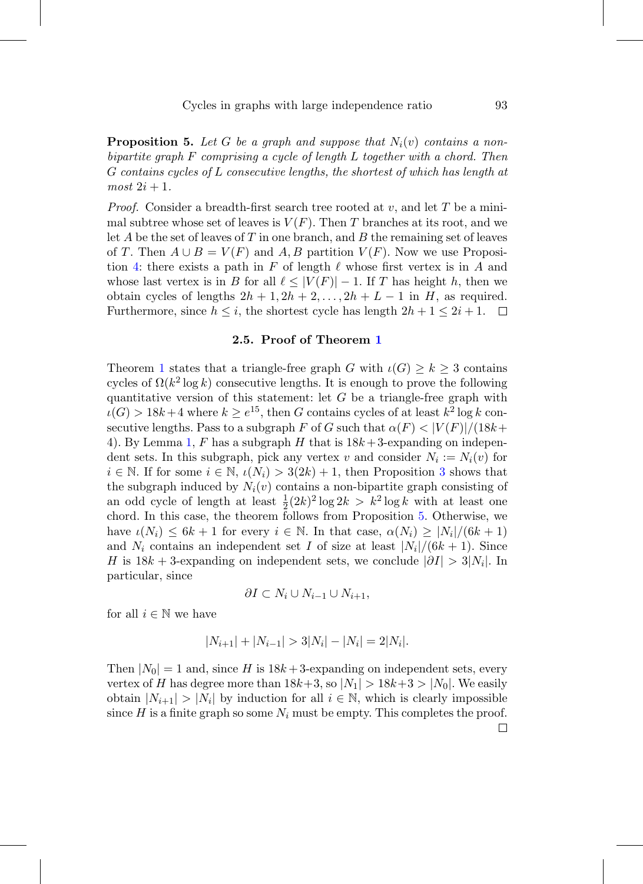<span id="page-10-0"></span>**Proposition 5.** Let G be a graph and suppose that  $N_i(v)$  contains a nonbipartite graph F comprising a cycle of length L together with a chord. Then G contains cycles of L consecutive lengths, the shortest of which has length at  $most\ 2i+1.$ 

*Proof.* Consider a breadth-first search tree rooted at  $v$ , and let T be a minimal subtree whose set of leaves is  $V(F)$ . Then T branches at its root, and we let A be the set of leaves of T in one branch, and B the remaining set of leaves of T. Then  $A \cup B = V(F)$  and A, B partition  $V(F)$ . Now we use Proposi-tion [4:](#page-9-0) there exists a path in F of length  $\ell$  whose first vertex is in A and whose last vertex is in B for all  $\ell \leq |V(F)| - 1$ . If T has height h, then we obtain cycles of lengths  $2h + 1$ ,  $2h + 2$ ,...,  $2h + L - 1$  in H, as required. Furthermore, since  $h \leq i$ , the shortest cycle has length  $2h + 1 \leq 2i + 1$ .  $\Box$ 

#### **2.5. Proof of Theorem [1](#page-1-0)**

Theorem [1](#page-1-0) states that a triangle-free graph G with  $\iota(G) \geq k \geq 3$  contains cycles of  $\Omega(k^2 \log k)$  consecutive lengths. It is enough to prove the following quantitative version of this statement: let  $G$  be a triangle-free graph with  $\iota(G) > 18k+4$  where  $k \geq e^{15}$ , then G contains cycles of at least  $k^2 \log k$  consecutive lengths. Pass to a subgraph F of G such that  $\alpha(F) < |V(F)|/(18k+$ 4). By Lemma [1,](#page-4-0) F has a subgraph H that is  $18k+3$ -expanding on independent sets. In this subgraph, pick any vertex v and consider  $N_i := N_i(v)$  for  $i \in \mathbb{N}$ . If for some  $i \in \mathbb{N}$ ,  $\iota(N_i) > 3(2k) + 1$  $\iota(N_i) > 3(2k) + 1$  $\iota(N_i) > 3(2k) + 1$ , then Proposition 3 shows that the subgraph induced by  $N_i(v)$  contains a non-bipartite graph consisting of an odd cycle of length at least  $\frac{1}{2}(2k)^2 \log 2k > k^2 \log k$  with at least one chord. In this case, the theorem follows from Proposition [5.](#page-10-0) Otherwise, we have  $\iota(N_i) \leq 6k+1$  for every  $i \in \mathbb{N}$ . In that case,  $\alpha(N_i) \geq |N_i|/(6k+1)$ and  $N_i$  contains an independent set I of size at least  $|N_i|/(6k+1)$ . Since H is  $18k + 3$ -expanding on independent sets, we conclude  $|\partial I| > 3|N_i|$ . In particular, since

$$
\partial I \subset N_i \cup N_{i-1} \cup N_{i+1},
$$

for all  $i \in \mathbb{N}$  we have

$$
|N_{i+1}| + |N_{i-1}| > 3|N_i| - |N_i| = 2|N_i|.
$$

Then  $|N_0| = 1$  and, since H is  $18k + 3$ -expanding on independent sets, every vertex of H has degree more than  $18k+3$ , so  $|N_1| > 18k+3 > |N_0|$ . We easily obtain  $|N_{i+1}| > |N_i|$  by induction for all  $i \in \mathbb{N}$ , which is clearly impossible since H is a finite graph so some  $N_i$  must be empty. This completes the proof. □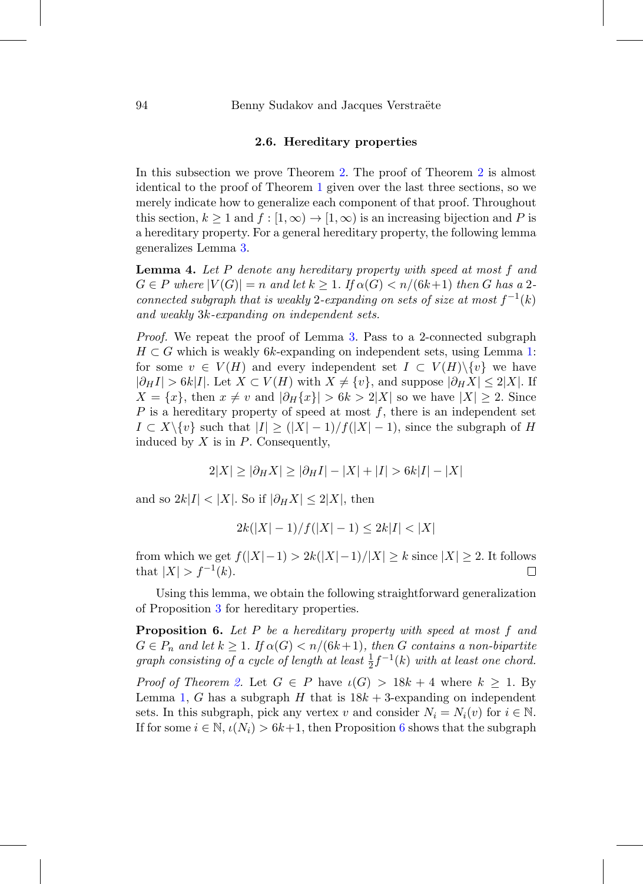### **2.6. Hereditary properties**

In this subsection we prove Theorem [2.](#page-1-1) The proof of Theorem [2](#page-1-1) is almost identical to the proof of Theorem [1](#page-1-0) given over the last three sections, so we merely indicate how to generalize each component of that proof. Throughout this section,  $k \ge 1$  and  $f : [1, \infty) \to [1, \infty)$  is an increasing bijection and P is a hereditary property. For a general hereditary property, the following lemma generalizes Lemma [3.](#page-6-0)

**Lemma 4.** Let P denote any hereditary property with speed at most f and  $G \in P$  where  $|V(G)| = n$  and let  $k \geq 1$ . If  $\alpha(G) < n/(6k+1)$  then G has a 2connected subgraph that is weakly 2-expanding on sets of size at most  $f^{-1}(k)$ and weakly 3k-expanding on independent sets.

Proof. We repeat the proof of Lemma [3.](#page-6-0) Pass to a 2-connected subgraph  $H \subset G$  which is weakly 6k-expanding on independent sets, using Lemma [1:](#page-4-0) for some  $v \in V(H)$  and every independent set  $I \subset V(H) \backslash \{v\}$  we have  $|\partial_H I| > 6k|I|$ . Let  $X \subset V(H)$  with  $X \neq \{v\}$ , and suppose  $|\partial_H X| \leq 2|X|$ . If  $X = \{x\}$ , then  $x \neq v$  and  $|\partial_H\{x\}| > 6k > 2|X|$  so we have  $|X| \geq 2$ . Since P is a hereditary property of speed at most  $f$ , there is an independent set  $I \subset X \setminus \{v\}$  such that  $|I| \geq (|X|-1)/f(|X|-1)$ , since the subgraph of H induced by  $X$  is in  $P$ . Consequently,

$$
2|X| \ge |\partial_H X| \ge |\partial_H I| - |X| + |I| > 6k|I| - |X|
$$

and so  $2k|I| < |X|$ . So if  $|\partial_H X| \leq 2|X|$ , then

$$
2k(|X|-1)/f(|X|-1) \le 2k|I| < |X|
$$

from which we get  $f(|X|-1) > 2k(|X|-1)/|X| \geq k$  since  $|X| \geq 2$ . It follows that  $|X| > f^{-1}(k)$ .  $\Box$ 

Using this lemma, we obtain the following straightforward generalization of Proposition [3](#page-8-1) for hereditary properties.

<span id="page-11-0"></span>**Proposition 6.** Let P be a hereditary property with speed at most f and  $G \in P_n$  and let  $k \geq 1$ . If  $\alpha(G) < n/(6k+1)$ , then G contains a non-bipartite graph consisting of a cycle of length at least  $\frac{1}{2} f^{-1}(k)$  with at least one chord.

*Proof of Theorem [2.](#page-1-1)* Let  $G \in P$  have  $\iota(G) > 18k + 4$  where  $k \geq 1$ . By Lemma [1,](#page-4-0) G has a subgraph H that is  $18k + 3$ -expanding on independent sets. In this subgraph, pick any vertex v and consider  $N_i = N_i(v)$  for  $i \in \mathbb{N}$ . If for some  $i \in \mathbb{N}$ ,  $\iota(N_i) > 6k+1$  $\iota(N_i) > 6k+1$  $\iota(N_i) > 6k+1$ , then Proposition 6 shows that the subgraph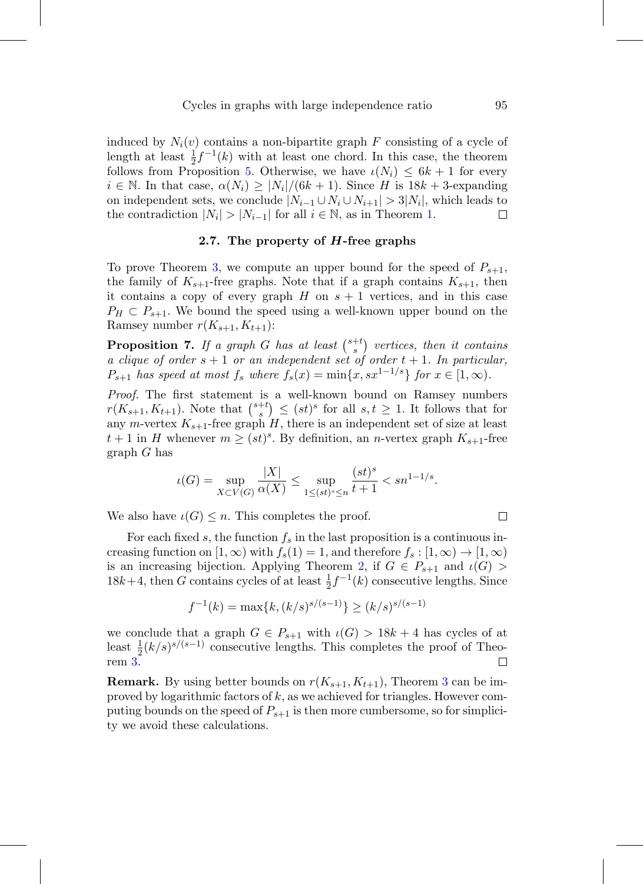induced by  $N_i(v)$  contains a non-bipartite graph F consisting of a cycle of length at least  $\frac{1}{2}f^{-1}(k)$  with at least one chord. In this case, the theorem follows from Proposition [5.](#page-10-0) Otherwise, we have  $\iota(N_i) \leq 6k+1$  for every  $i \in \mathbb{N}$ . In that case,  $\alpha(N_i) \geq |N_i|/(6k+1)$ . Since H is  $18k+3$ -expanding on independent sets, we conclude  $|N_{i-1} \cup N_i \cup N_{i+1}| > 3|N_i|$ , which leads to the contradiction  $|N_i| > |N_{i-1}|$  for all  $i \in \mathbb{N}$ , as in Theorem 1. □ the contradiction  $|N_i| > |N_{i-1}|$  for all  $i \in \mathbb{N}$ , as in Theorem [1.](#page-1-0)

### **2.7. The property of** *H***-free graphs**

To prove Theorem [3,](#page-1-2) we compute an upper bound for the speed of  $P_{s+1}$ , the family of  $K_{s+1}$ -free graphs. Note that if a graph contains  $K_{s+1}$ , then it contains a copy of every graph  $H$  on  $s + 1$  vertices, and in this case  $P_H \subset P_{s+1}$ . We bound the speed using a well-known upper bound on the Ramsey number  $r(K_{s+1}, K_{t+1})$ :

**Proposition 7.** If a graph G has at least  $\binom{s+t}{s}$  vertices, then it contains a clique of order  $s + 1$  or an independent set of order  $t + 1$ . In particular,  $P_{s+1}$  has speed at most  $f_s$  where  $f_s(x) = \min\{x, sx^{1-1/s}\}\$  for  $x \in [1, \infty)$ .

Proof. The first statement is a well-known bound on Ramsey numbers  $r(K_{s+1}, K_{t+1})$ . Note that  $\binom{s+t}{s} \leq (st)^s$  for all  $s, t \geq 1$ . It follows that for any m-vertex  $K_{s+1}$ -free graph H, there is an independent set of size at least  $t+1$  in H whenever  $m \geq (st)^s$ . By definition, an n-vertex graph  $K_{s+1}$ -free graph G has

$$
\iota(G) = \sup_{X \subset V(G)} \frac{|X|}{\alpha(X)} \le \sup_{1 \le (st)^s \le n} \frac{(st)^s}{t+1} < sn^{1-1/s}.
$$

We also have  $\iota(G) \leq n$ . This completes the proof.

For each fixed s, the function  $f_s$  in the last proposition is a continuous increasing function on  $[1, \infty)$  with  $f_s(1) = 1$ , and therefore  $f_s : [1, \infty) \to [1, \infty)$ is an increasing bijection. Applying Theorem [2,](#page-1-1) if  $G \in P_{s+1}$  and  $\iota(G)$  $18k+4$ , then G contains cycles of at least  $\frac{1}{2}f^{-1}(k)$  consecutive lengths. Since

$$
f^{-1}(k) = \max\{k, (k/s)^{s/(s-1)}\} \ge (k/s)^{s/(s-1)}
$$

we conclude that a graph  $G \in P_{s+1}$  with  $\iota(G) > 18k+4$  has cycles of at least  $\frac{1}{2}(k/s)^{s/(s-1)}$  consecutive lengths. This completes the proof of Theorem [3.](#page-1-2)

**Remark.** By using better bounds on  $r(K_{s+1}, K_{t+1})$ , Theorem [3](#page-1-2) can be improved by logarithmic factors of k, as we achieved for triangles. However computing bounds on the speed of  $P_{s+1}$  is then more cumbersome, so for simplicity we avoid these calculations.

$$
\overline{\square}
$$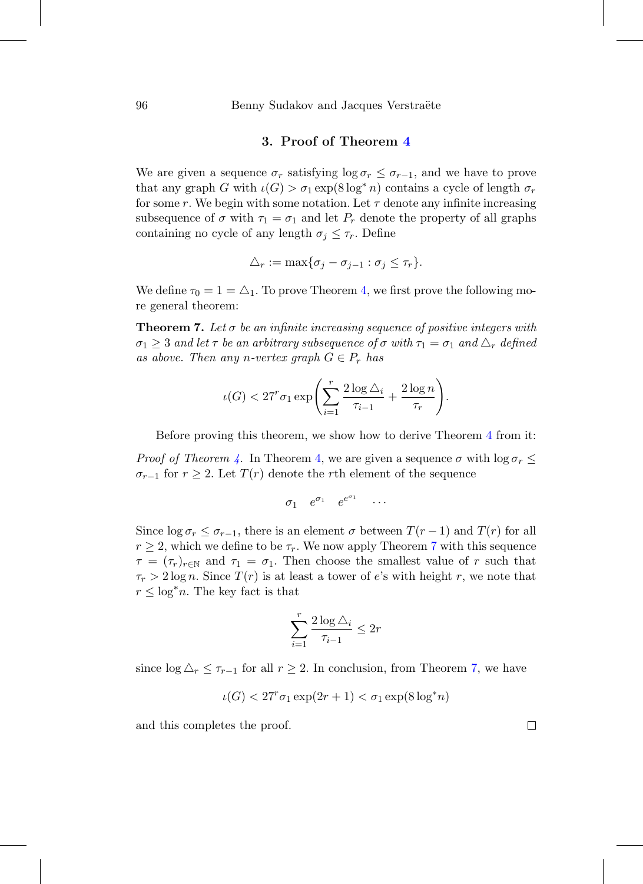# **3. Proof of Theorem [4](#page-2-0)**

We are given a sequence  $\sigma_r$  satisfying  $\log \sigma_r \leq \sigma_{r-1}$ , and we have to prove that any graph G with  $\iota(G) > \sigma_1 \exp(8 \log^* n)$  contains a cycle of length  $\sigma_r$ for some r. We begin with some notation. Let  $\tau$  denote any infinite increasing subsequence of  $\sigma$  with  $\tau_1 = \sigma_1$  and let  $P_r$  denote the property of all graphs containing no cycle of any length  $\sigma_j \leq \tau_r$ . Define

$$
\triangle_r := \max\{\sigma_j - \sigma_{j-1} : \sigma_j \leq \tau_r\}.
$$

We define  $\tau_0 = 1 = \Delta_1$ . To prove Theorem [4,](#page-2-0) we first prove the following more general theorem:

<span id="page-13-0"></span>**Theorem 7.** Let  $\sigma$  be an infinite increasing sequence of positive integers with  $\sigma_1 \geq 3$  and let  $\tau$  be an arbitrary subsequence of  $\sigma$  with  $\tau_1 = \sigma_1$  and  $\Delta_r$  defined as above. Then any n-vertex graph  $G \in P_r$  has

$$
\iota(G) < 27^r \sigma_1 \exp\left(\sum_{i=1}^r \frac{2\log \triangle_i}{\tau_{i-1}} + \frac{2\log n}{\tau_r}\right).
$$

Before proving this theorem, we show how to derive Theorem [4](#page-2-0) from it:

*Proof of Theorem [4.](#page-2-0)* In Theorem [4,](#page-2-0) we are given a sequence  $\sigma$  with  $\log \sigma_r \leq$  $\sigma_{r-1}$  for  $r \geq 2$ . Let  $T(r)$  denote the rth element of the sequence

$$
\sigma_1 \quad e^{\sigma_1} \quad e^{e^{\sigma_1}} \quad \cdots
$$

Since  $\log \sigma_r \leq \sigma_{r-1}$ , there is an element  $\sigma$  between  $T(r-1)$  and  $T(r)$  for all  $r \geq 2$ , which we define to be  $\tau_r$ . We now apply Theorem [7](#page-13-0) with this sequence  $\tau = (\tau_r)_{r \in \mathbb{N}}$  and  $\tau_1 = \sigma_1$ . Then choose the smallest value of r such that  $\tau_r > 2 \log n$ . Since  $T(r)$  is at least a tower of e's with height r, we note that  $r \leq \log^* n$ . The key fact is that

$$
\sum_{i=1}^r \frac{2\log\triangle_i}{\tau_{i-1}} \leq 2r
$$

since  $\log \Delta_r \leq \tau_{r-1}$  for all  $r \geq 2$ . In conclusion, from Theorem [7,](#page-13-0) we have

$$
\iota(G) < 27^r \sigma_1 \exp(2r+1) < \sigma_1 \exp(8\log^* n)
$$

and this completes the proof.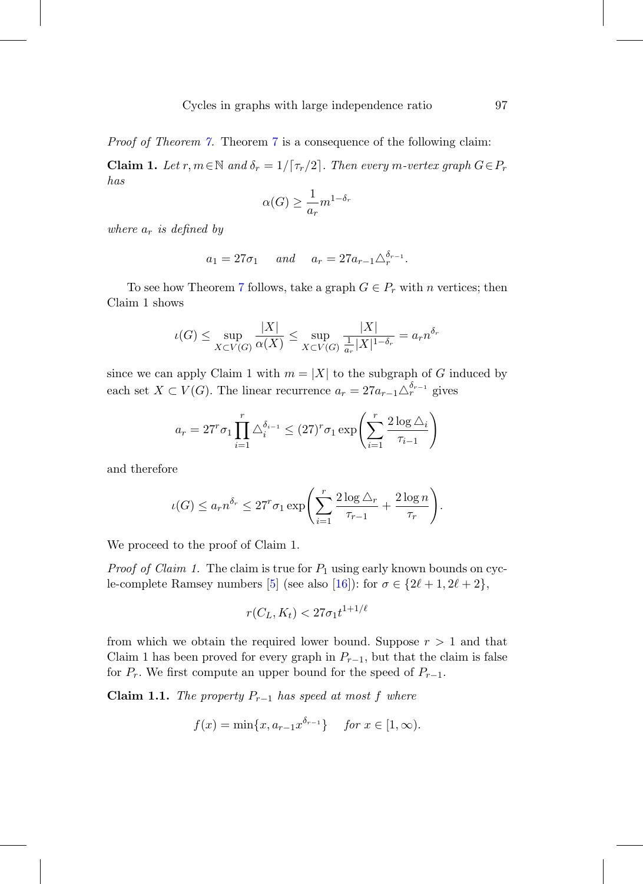Proof of Theorem [7.](#page-13-0) Theorem [7](#page-13-0) is a consequence of the following claim:

**Claim 1.** Let  $r, m \in \mathbb{N}$  and  $\delta_r = 1/\lceil \tau_r/2 \rceil$ . Then every m-vertex graph  $G \in P_r$ has

$$
\alpha(G) \ge \frac{1}{a_r} m^{1-\delta_r}
$$

where  $a_r$  is defined by

$$
a_1 = 27\sigma_1
$$
 and  $a_r = 27a_{r-1}\Delta_r^{\delta_{r-1}}$ .

To see how Theorem [7](#page-13-0) follows, take a graph  $G \in P_r$  with n vertices; then Claim 1 shows

$$
\iota(G) \le \sup_{X \subset V(G)} \frac{|X|}{\alpha(X)} \le \sup_{X \subset V(G)} \frac{|X|}{\frac{1}{a_r}|X|^{1-\delta_r}} = a_r n^{\delta_r}
$$

since we can apply Claim 1 with  $m = |X|$  to the subgraph of G induced by each set  $X \subset V(G)$ . The linear recurrence  $a_r = 27a_{r-1} \triangle_r^{\delta_{r-1}}$  gives

$$
a_r = 27^r \sigma_1 \prod_{i=1}^r \Delta_i^{\delta_{i-1}} \le (27)^r \sigma_1 \exp\left(\sum_{i=1}^r \frac{2 \log \Delta_i}{\tau_{i-1}}\right)
$$

and therefore

$$
\iota(G) \le a_r n^{\delta_r} \le 27^r \sigma_1 \exp\left(\sum_{i=1}^r \frac{2\log \Delta_r}{\tau_{r-1}} + \frac{2\log n}{\tau_r}\right).
$$

We proceed to the proof of Claim 1.

*Proof of Claim 1.* The claim is true for  $P_1$  using early known bounds on cyc-le-complete Ramsey numbers [\[5](#page-18-5)] (see also [\[16](#page-19-7)]): for  $\sigma \in \{2\ell + 1, 2\ell + 2\}$ ,

$$
r(C_L, K_t) < 27\sigma_1 t^{1+1/\ell}
$$

from which we obtain the required lower bound. Suppose  $r > 1$  and that Claim 1 has been proved for every graph in  $P_{r-1}$ , but that the claim is false for  $P_r$ . We first compute an upper bound for the speed of  $P_{r-1}$ .

**Claim 1.1.** The property  $P_{r-1}$  has speed at most f where

$$
f(x) = \min\{x, a_{r-1}x^{\delta_{r-1}}\}\
$$
 for  $x \in [1, \infty)$ .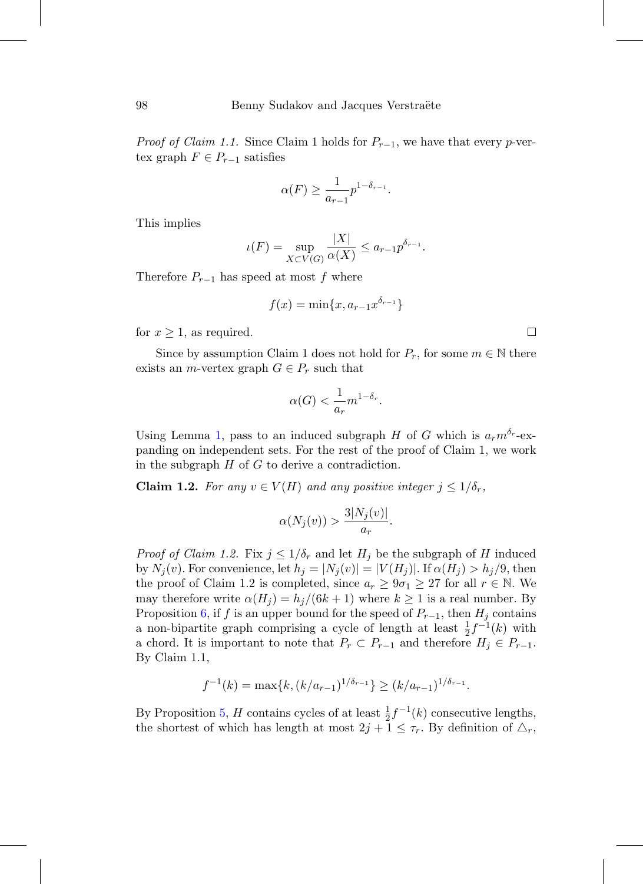*Proof of Claim 1.1.* Since Claim 1 holds for  $P_{r-1}$ , we have that every p-vertex graph  $F \in P_{r-1}$  satisfies

$$
\alpha(F) \ge \frac{1}{a_{r-1}} p^{1-\delta_{r-1}}.
$$

This implies

$$
\iota(F) = \sup_{X \subset V(G)} \frac{|X|}{\alpha(X)} \le a_{r-1} p^{\delta_{r-1}}.
$$

Therefore  $P_{r-1}$  has speed at most f where

$$
f(x) = \min\{x, a_{r-1}x^{\delta_{r-1}}\}
$$

for  $x \geq 1$ , as required.

Since by assumption Claim 1 does not hold for  $P_r$ , for some  $m \in \mathbb{N}$  there exists an *m*-vertex graph  $G \in P_r$  such that

$$
\alpha(G) < \frac{1}{a_r} m^{1 - \delta_r}.
$$

Using Lemma [1,](#page-4-0) pass to an induced subgraph H of G which is  $a_r m^{\delta_r}$ -expanding on independent sets. For the rest of the proof of Claim 1, we work in the subgraph  $H$  of  $G$  to derive a contradiction.

**Claim 1.2.** For any  $v \in V(H)$  and any positive integer  $j \leq 1/\delta_r$ ,

$$
\alpha(N_j(v)) > \frac{3|N_j(v)|}{a_r}.
$$

*Proof of Claim 1.2.* Fix  $j \leq 1/\delta_r$  and let  $H_j$  be the subgraph of H induced by  $N_j(v)$ . For convenience, let  $h_j = |N_j(v)| = |V(H_j)|$ . If  $\alpha(H_j) > h_j/9$ , then the proof of Claim 1.2 is completed, since  $a_r \geq 9\sigma_1 \geq 27$  for all  $r \in \mathbb{N}$ . We may therefore write  $\alpha(H_i) = h_i/(6k+1)$  where  $k \ge 1$  is a real number. By Proposition [6,](#page-11-0) if f is an upper bound for the speed of  $P_{r-1}$ , then  $H_j$  contains a non-bipartite graph comprising a cycle of length at least  $\frac{1}{2}f^{-1}(k)$  with a chord. It is important to note that  $P_r \subset P_{r-1}$  and therefore  $H_j \in P_{r-1}$ . By Claim 1.1,

$$
f^{-1}(k) = \max\{k, (k/a_{r-1})^{1/\delta_{r-1}}\} \ge (k/a_{r-1})^{1/\delta_{r-1}}.
$$

By Proposition [5,](#page-10-0) H contains cycles of at least  $\frac{1}{2}f^{-1}(k)$  consecutive lengths, the shortest of which has length at most  $2j + 1 \leq \tau_r$ . By definition of  $\triangle_r$ ,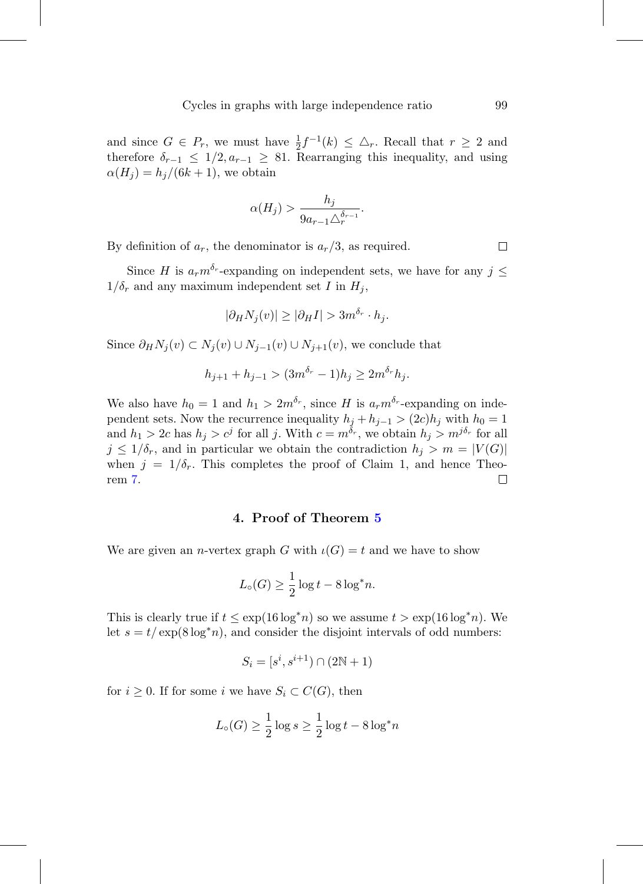and since  $G \in P_r$ , we must have  $\frac{1}{2} f^{-1}(k) \leq \Delta_r$ . Recall that  $r \geq 2$  and therefore  $\delta_{r-1} \leq 1/2, a_{r-1} \geq 81$ . Rearranging this inequality, and using  $\alpha(H_i) = h_i/(6k+1)$ , we obtain

$$
\alpha(H_j) > \frac{h_j}{9a_{r-1}\Delta_r^{\delta_{r-1}}}.
$$

By definition of  $a_r$ , the denominator is  $a_r/3$ , as required.

Since H is  $a_r m^{\delta_r}$ -expanding on independent sets, we have for any  $j \leq$  $1/\delta_r$  and any maximum independent set I in  $H_i$ ,

$$
|\partial_H N_j(v)| \ge |\partial_H I| > 3m^{\delta_r} \cdot h_j.
$$

Since  $\partial_H N_j(v) \subset N_j(v) \cup N_{j-1}(v) \cup N_{j+1}(v)$ , we conclude that

$$
h_{j+1} + h_{j-1} > (3m^{\delta_r} - 1)h_j \ge 2m^{\delta_r}h_j.
$$

We also have  $h_0 = 1$  and  $h_1 > 2m^{\delta_r}$ , since H is  $a_r m^{\delta_r}$ -expanding on independent sets. Now the recurrence inequality  $h_j + h_{j-1} > (2c)h_j$  with  $h_0 = 1$ and  $h_1 > 2c$  has  $h_j > c^j$  for all j. With  $c = m^{\delta_r}$ , we obtain  $h_j > m^{j\delta_r}$  for all  $j \leq 1/\delta_r$ , and in particular we obtain the contradiction  $h_j > m = |V(G)|$ when  $j = 1/\delta_r$ . This completes the proof of Claim 1, and hence Theorem [7.](#page-13-0) □

## **4. Proof of Theorem [5](#page-3-0)**

We are given an *n*-vertex graph G with  $\iota(G) = t$  and we have to show

$$
L_{\circ}(G) \ge \frac{1}{2}\log t - 8\log^* n.
$$

This is clearly true if  $t \leq \exp(16 \log^* n)$  so we assume  $t > \exp(16 \log^* n)$ . We let  $s = t / \exp(8 \log^* n)$ , and consider the disjoint intervals of odd numbers:

$$
S_i = [s^i, s^{i+1}) \cap (2\mathbb{N} + 1)
$$

for  $i \geq 0$ . If for some i we have  $S_i \subset C(G)$ , then

$$
L_{\circ}(G) \ge \frac{1}{2}\log s \ge \frac{1}{2}\log t - 8\log^* n
$$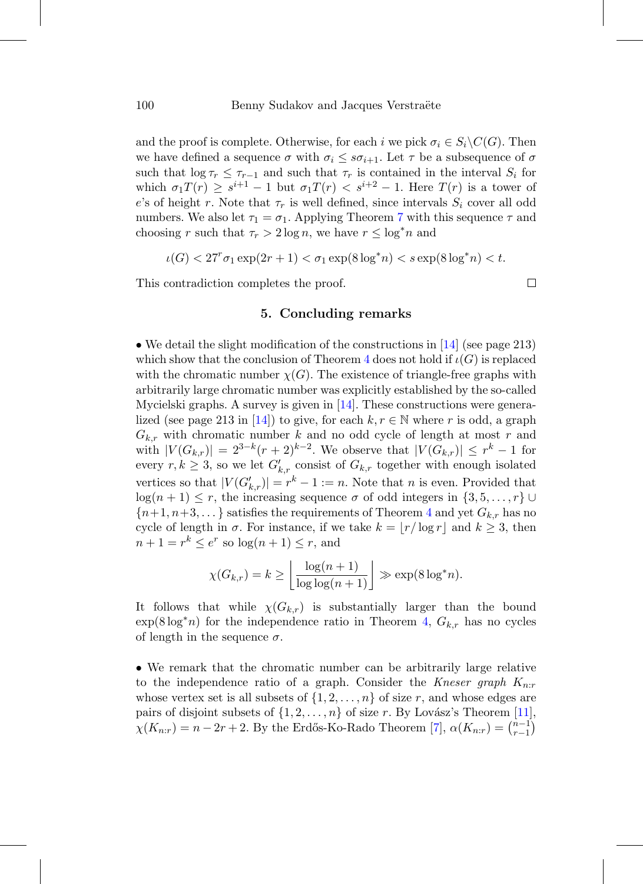and the proof is complete. Otherwise, for each i we pick  $\sigma_i \in S_i \backslash C(G)$ . Then we have defined a sequence  $\sigma$  with  $\sigma_i \leq s\sigma_{i+1}$ . Let  $\tau$  be a subsequence of  $\sigma$ such that  $\log \tau_r \leq \tau_{r-1}$  and such that  $\tau_r$  is contained in the interval  $S_i$  for which  $\sigma_1T(r) \geq s^{i+1} - 1$  but  $\sigma_1T(r) < s^{i+2} - 1$ . Here  $T(r)$  is a tower of e's of height r. Note that  $\tau_r$  is well defined, since intervals  $S_i$  cover all odd numbers. We also let  $\tau_1 = \sigma_1$ . Applying Theorem [7](#page-13-0) with this sequence  $\tau$  and choosing r such that  $\tau_r > 2 \log n$ , we have  $r \leq \log^* n$  and

$$
\iota(G) < 27^r \sigma_1 \exp(2r+1) < \sigma_1 \exp(8\log^* n) < s \exp(8\log^* n) < t.
$$

This contradiction completes the proof.

## **5. Concluding remarks**

• We detail the slight modification of the constructions in [\[14\]](#page-19-3) (see page 213) which show that the conclusion of Theorem [4](#page-2-0) does not hold if  $\iota(G)$  is replaced with the chromatic number  $\chi(G)$ . The existence of triangle-free graphs with arbitrarily large chromatic number was explicitly established by the so-called Mycielski graphs. A survey is given in [\[14](#page-19-3)]. These constructions were genera-lized (see page 213 in [\[14](#page-19-3)]) to give, for each  $k, r \in \mathbb{N}$  where r is odd, a graph  $G_{k,r}$  with chromatic number k and no odd cycle of length at most r and with  $|V(G_{k,r})| = 2^{3-k}(r+2)^{k-2}$ . We observe that  $|V(G_{k,r})| \leq r^k - 1$  for every  $r, k \geq 3$ , so we let  $G'_{k,r}$  consist of  $G_{k,r}$  together with enough isolated vertices so that  $|V(G'_{k,r})| = r^k - 1 := n$ . Note that n is even. Provided that  $log(n + 1) \leq r$ , the increasing sequence  $\sigma$  of odd integers in  $\{3, 5, \ldots, r\}$  ${n+1, n+3,...}$  satisfies the requirements of Theorem [4](#page-2-0) and yet  $G_{k,r}$  has no cycle of length in  $\sigma$ . For instance, if we take  $k = |r/\log r|$  and  $k \geq 3$ , then  $n+1 = r^k \leq e^r$  so  $\log(n+1) \leq r$ , and

$$
\chi(G_{k,r}) = k \ge \left\lfloor \frac{\log(n+1)}{\log \log(n+1)} \right\rfloor \gg \exp(8 \log^* n).
$$

It follows that while  $\chi(G_{k,r})$  is substantially larger than the bound  $\exp(8 \log^* n)$  for the independence ratio in Theorem [4,](#page-2-0)  $G_{k,r}$  has no cycles of length in the sequence  $\sigma$ .

• We remark that the chromatic number can be arbitrarily large relative to the independence ratio of a graph. Consider the Kneser graph  $K_{n,r}$ whose vertex set is all subsets of  $\{1, 2, \ldots, n\}$  of size r, and whose edges are pairs of disjoint subsets of  $\{1, 2, ..., n\}$  of size r. By Lovász's Theorem [\[11](#page-19-0)],  $\chi(K_{n:r}) = n - 2r + 2$ . By the Erdős-Ko-Rado Theorem [\[7](#page-19-8)],  $\alpha(K_{n:r}) = \binom{n-1}{r-1}$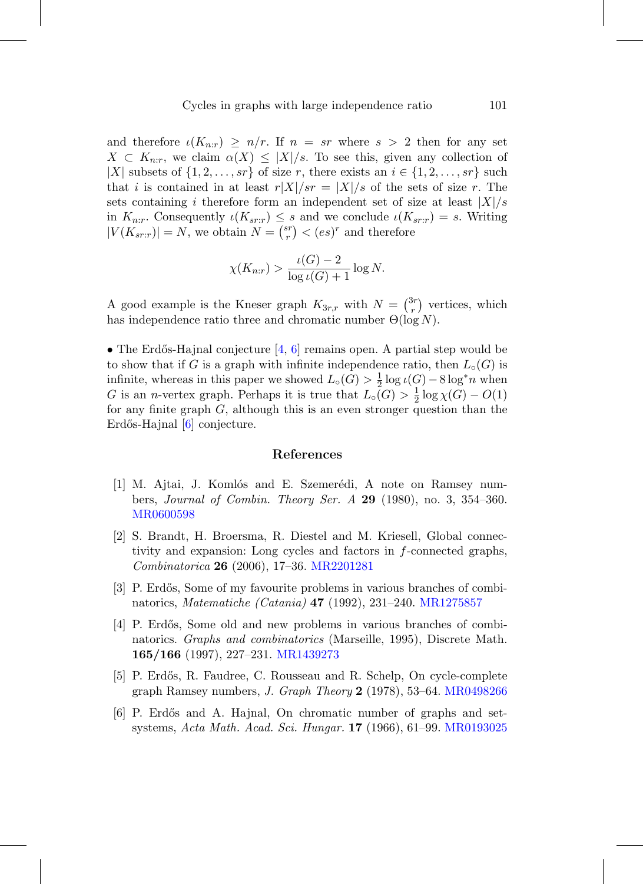and therefore  $\iota(K_{n:r}) \geq n/r$ . If  $n = sr$  where  $s > 2$  then for any set  $X \subset K_{n,r}$ , we claim  $\alpha(X) \leq |X|/s$ . To see this, given any collection of |X| subsets of  $\{1, 2, \ldots, sr\}$  of size r, there exists an  $i \in \{1, 2, \ldots, sr\}$  such that i is contained in at least  $r|X|/sr = |X|/s$  of the sets of size r. The sets containing i therefore form an independent set of size at least  $|X|/s$ in  $K_{n:r}$ . Consequently  $\iota(K_{sr:r}) \leq s$  and we conclude  $\iota(K_{sr:r}) = s$ . Writing  $|V(K_{sr:r})| = N$ , we obtain  $N = \binom{sr}{r} < (es)^r$  and therefore

$$
\chi(K_{n:r}) > \frac{\iota(G) - 2}{\log \iota(G) + 1} \log N.
$$

A good example is the Kneser graph  $K_{3r,r}$  with  $N = \binom{3r}{r}$  vertices, which has independence ratio three and chromatic number  $\Theta(\log N)$ .

• The Erdős-Hajnal conjecture  $\left[4, 6\right]$  $\left[4, 6\right]$  $\left[4, 6\right]$  $\left[4, 6\right]$  $\left[4, 6\right]$  remains open. A partial step would be to show that if G is a graph with infinite independence ratio, then  $L_{\circ}(G)$  is infinite, whereas in this paper we showed  $L_0(G) > \frac{1}{2} \log \iota(G) - 8 \log^* n$  when G is an *n*-vertex graph. Perhaps it is true that  $L_{\circ}(G) > \frac{1}{2} \log \chi(G) - O(1)$ for any finite graph G, although this is an even stronger question than the Erdős-Hajnal [\[6](#page-18-2)] conjecture.

## **References**

- <span id="page-18-3"></span>[1] M. Ajtai, J. Komlós and E. Szemerédi, A note on Ramsey numbers, Journal of Combin. Theory Ser. A **29** (1980), no. 3, 354–360. [MR0600598](http://www.ams.org/mathscinet-getitem?mr=0600598)
- <span id="page-18-4"></span>[2] S. Brandt, H. Broersma, R. Diestel and M. Kriesell, Global connectivity and expansion: Long cycles and factors in f-connected graphs, Combinatorica **26** (2006), 17–36. [MR2201281](http://www.ams.org/mathscinet-getitem?mr=2201281)
- <span id="page-18-0"></span>[3] P. Erdős, Some of my favourite problems in various branches of combinatorics, Matematiche (Catania) **47** (1992), 231–240. [MR1275857](http://www.ams.org/mathscinet-getitem?mr=1275857)
- <span id="page-18-1"></span>[4] P. Erdős, Some old and new problems in various branches of combinatorics. Graphs and combinatorics (Marseille, 1995), Discrete Math. **165/166** (1997), 227–231. [MR1439273](http://www.ams.org/mathscinet-getitem?mr=1439273)
- <span id="page-18-5"></span>[5] P. Erdős, R. Faudree, C. Rousseau and R. Schelp, On cycle-complete graph Ramsey numbers, J. Graph Theory **2** (1978), 53–64. [MR0498266](http://www.ams.org/mathscinet-getitem?mr=0498266)
- <span id="page-18-2"></span>[6] P. Erd˝os and A. Hajnal, On chromatic number of graphs and setsystems, Acta Math. Acad. Sci. Hungar. **17** (1966), 61–99. [MR0193025](http://www.ams.org/mathscinet-getitem?mr=0193025)